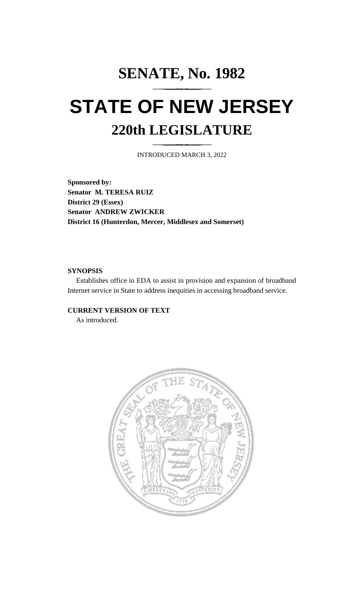# **SENATE, No. 1982 STATE OF NEW JERSEY 220th LEGISLATURE**

INTRODUCED MARCH 3, 2022

**Sponsored by: Senator M. TERESA RUIZ District 29 (Essex) Senator ANDREW ZWICKER District 16 (Hunterdon, Mercer, Middlesex and Somerset)**

## **SYNOPSIS**

Establishes office in EDA to assist in provision and expansion of broadband Internet service in State to address inequities in accessing broadband service.

## **CURRENT VERSION OF TEXT**

As introduced.

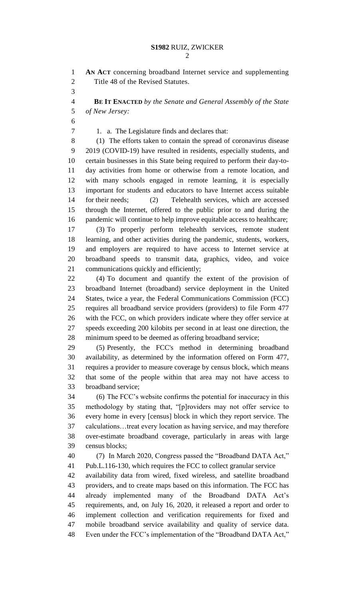**AN ACT** concerning broadband Internet service and supplementing Title 48 of the Revised Statutes.

 **BE IT ENACTED** *by the Senate and General Assembly of the State of New Jersey:*

1. a. The Legislature finds and declares that:

 (1) The efforts taken to contain the spread of coronavirus disease 2019 (COVID-19) have resulted in residents, especially students, and certain businesses in this State being required to perform their day-to- day activities from home or otherwise from a remote location, and with many schools engaged in remote learning, it is especially important for students and educators to have Internet access suitable for their needs; (2) Telehealth services, which are accessed through the Internet, offered to the public prior to and during the pandemic will continue to help improve equitable access to healthcare;

 (3) To properly perform telehealth services, remote student learning, and other activities during the pandemic, students, workers, and employers are required to have access to Internet service at broadband speeds to transmit data, graphics, video, and voice communications quickly and efficiently;

 (4) To document and quantify the extent of the provision of broadband Internet (broadband) service deployment in the United States, twice a year, the Federal Communications Commission (FCC) requires all broadband service providers (providers) to file Form 477 with the FCC, on which providers indicate where they offer service at speeds exceeding 200 kilobits per second in at least one direction, the minimum speed to be deemed as offering broadband service;

 (5) Presently, the FCC's method in determining broadband availability, as determined by the information offered on Form 477, requires a provider to measure coverage by census block, which means that some of the people within that area may not have access to broadband service;

 (6) The FCC's website confirms the potential for inaccuracy in this methodology by stating that, "[p]roviders may not offer service to every home in every [census] block in which they report service. The calculations…treat every location as having service, and may therefore over-estimate broadband coverage, particularly in areas with large census blocks;

 (7) In March 2020, Congress passed the "Broadband DATA Act," Pub.L.116-130, which requires the FCC to collect granular service

 availability data from wired, fixed wireless, and satellite broadband providers, and to create maps based on this information. The FCC has already implemented many of the Broadband DATA Act's requirements, and, on July 16, 2020, it released a report and order to implement collection and verification requirements for fixed and mobile broadband service availability and quality of service data. Even under the FCC's implementation of the "Broadband DATA Act,"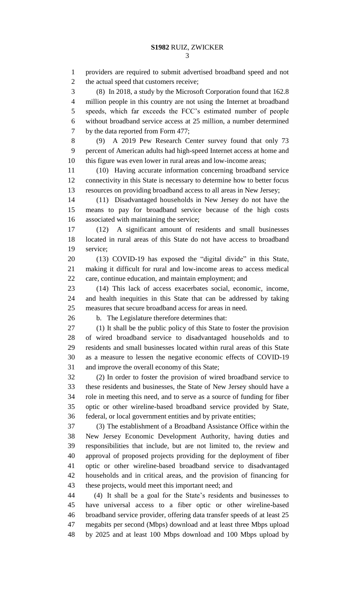2 the actual speed that customers receive;

 (8) In 2018, a study by the Microsoft Corporation found that 162.8 million people in this country are not using the Internet at broadband speeds, which far exceeds the FCC's estimated number of people without broadband service access at 25 million, a number determined by the data reported from Form 477;

 (9) A 2019 Pew Research Center survey found that only 73 percent of American adults had high-speed Internet access at home and this figure was even lower in rural areas and low-income areas;

 (10) Having accurate information concerning broadband service connectivity in this State is necessary to determine how to better focus resources on providing broadband access to all areas in New Jersey;

 (11) Disadvantaged households in New Jersey do not have the means to pay for broadband service because of the high costs associated with maintaining the service;

 (12) A significant amount of residents and small businesses located in rural areas of this State do not have access to broadband service;

 (13) COVID-19 has exposed the "digital divide" in this State, making it difficult for rural and low-income areas to access medical care, continue education, and maintain employment; and

 (14) This lack of access exacerbates social, economic, income, and health inequities in this State that can be addressed by taking measures that secure broadband access for areas in need.

b. The Legislature therefore determines that:

 (1) It shall be the public policy of this State to foster the provision of wired broadband service to disadvantaged households and to residents and small businesses located within rural areas of this State as a measure to lessen the negative economic effects of COVID-19 and improve the overall economy of this State;

 (2) In order to foster the provision of wired broadband service to these residents and businesses, the State of New Jersey should have a role in meeting this need, and to serve as a source of funding for fiber optic or other wireline-based broadband service provided by State, federal, or local government entities and by private entities;

 (3) The establishment of a Broadband Assistance Office within the New Jersey Economic Development Authority, having duties and responsibilities that include, but are not limited to, the review and approval of proposed projects providing for the deployment of fiber optic or other wireline-based broadband service to disadvantaged households and in critical areas, and the provision of financing for these projects, would meet this important need; and

 (4) It shall be a goal for the State's residents and businesses to have universal access to a fiber optic or other wireline-based broadband service provider, offering data transfer speeds of at least 25 megabits per second (Mbps) download and at least three Mbps upload by 2025 and at least 100 Mbps download and 100 Mbps upload by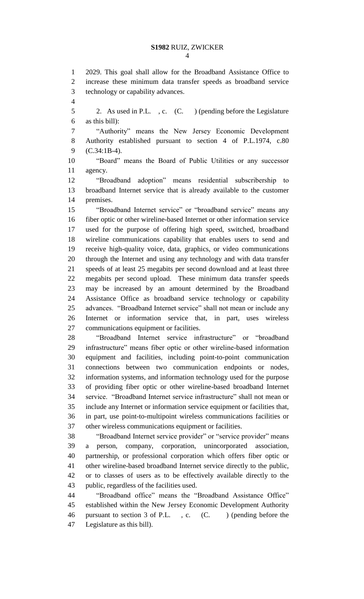2029. This goal shall allow for the Broadband Assistance Office to increase these minimum data transfer speeds as broadband service technology or capability advances. 2. As used in P.L. , c. (C. ) (pending before the Legislature as this bill): "Authority" means the New Jersey Economic Development Authority established pursuant to section 4 of P.L.1974, c.80 (C.34:1B-4). "Board" means the Board of Public Utilities or any successor agency. "Broadband adoption" means residential subscribership to broadband Internet service that is already available to the customer premises. "Broadband Internet service" or "broadband service" means any fiber optic or other wireline-based Internet or other information service used for the purpose of offering high speed, switched, broadband wireline communications capability that enables users to send and receive high-quality voice, data, graphics, or video communications through the Internet and using any technology and with data transfer speeds of at least 25 megabits per second download and at least three megabits per second upload. These minimum data transfer speeds may be increased by an amount determined by the Broadband Assistance Office as broadband service technology or capability advances. "Broadband Internet service" shall not mean or include any Internet or information service that, in part, uses wireless communications equipment or facilities. "Broadband Internet service infrastructure" or "broadband infrastructure" means fiber optic or other wireline-based information equipment and facilities, including point-to-point communication connections between two communication endpoints or nodes, information systems, and information technology used for the purpose of providing fiber optic or other wireline-based broadband Internet service. "Broadband Internet service infrastructure" shall not mean or include any Internet or information service equipment or facilities that, in part, use point-to-multipoint wireless communications facilities or other wireless communications equipment or facilities. "Broadband Internet service provider" or "service provider" means a person, company, corporation, unincorporated association, partnership, or professional corporation which offers fiber optic or other wireline-based broadband Internet service directly to the public, or to classes of users as to be effectively available directly to the public, regardless of the facilities used. "Broadband office" means the "Broadband Assistance Office" established within the New Jersey Economic Development Authority 46 pursuant to section 3 of P.L., c. (C.) (pending before the

Legislature as this bill).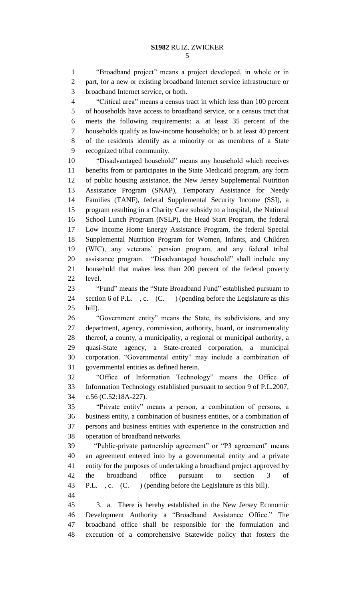"Broadband project" means a project developed, in whole or in part, for a new or existing broadband Internet service infrastructure or broadband Internet service, or both.

 "Critical area" means a census tract in which less than 100 percent of households have access to broadband service, or a census tract that meets the following requirements: a. at least 35 percent of the households qualify as low-income households; or b. at least 40 percent of the residents identify as a minority or as members of a State recognized tribal community.

 "Disadvantaged household" means any household which receives benefits from or participates in the State Medicaid program, any form of public housing assistance, the New Jersey Supplemental Nutrition Assistance Program (SNAP), Temporary Assistance for Needy Families (TANF), federal Supplemental Security Income (SSI), a program resulting in a Charity Care subsidy to a hospital, the National School Lunch Program (NSLP), the Head Start Program, the federal Low Income Home Energy Assistance Program, the federal Special Supplemental Nutrition Program for Women, Infants, and Children (WIC), any veterans' pension program, and any federal tribal assistance program. "Disadvantaged household" shall include any household that makes less than 200 percent of the federal poverty level.

 "Fund" means the "State Broadband Fund" established pursuant to section 6 of P.L. , c. (C. ) (pending before the Legislature as this bill).

 "Government entity" means the State, its subdivisions, and any department, agency, commission, authority, board, or instrumentality thereof, a county, a municipality, a regional or municipal authority, a quasi-State agency, a State-created corporation, a municipal corporation. "Governmental entity" may include a combination of governmental entities as defined herein.

 "Office of Information Technology" means the Office of Information Technology established pursuant to section 9 of P.L.2007, c.56 (C.52:18A-227).

 "Private entity" means a person, a combination of persons, a business entity, a combination of business entities, or a combination of persons and business entities with experience in the construction and operation of broadband networks.

 "Public-private partnership agreement" or "P3 agreement" means an agreement entered into by a governmental entity and a private entity for the purposes of undertaking a broadband project approved by the broadband office pursuant to section 3 of P.L. , c. (C. ) (pending before the Legislature as this bill). 

 3. a. There is hereby established in the New Jersey Economic Development Authority a "Broadband Assistance Office." The broadband office shall be responsible for the formulation and execution of a comprehensive Statewide policy that fosters the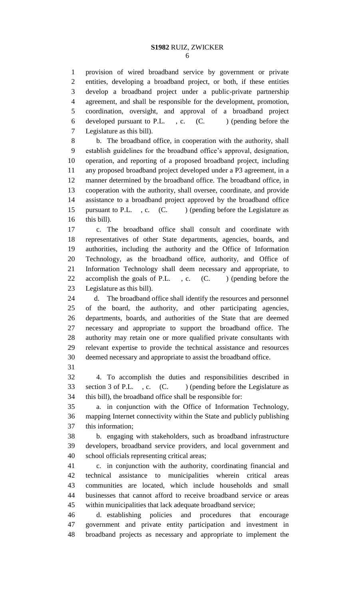provision of wired broadband service by government or private entities, developing a broadband project, or both, if these entities develop a broadband project under a public-private partnership agreement, and shall be responsible for the development, promotion, coordination, oversight, and approval of a broadband project 6 developed pursuant to P.L., c. (C.) (pending before the Legislature as this bill).

 b. The broadband office, in cooperation with the authority, shall establish guidelines for the broadband office's approval, designation, operation, and reporting of a proposed broadband project, including any proposed broadband project developed under a P3 agreement, in a manner determined by the broadband office. The broadband office, in cooperation with the authority, shall oversee, coordinate, and provide assistance to a broadband project approved by the broadband office 15 pursuant to P.L., c. (C.) (pending before the Legislature as this bill).

 c. The broadband office shall consult and coordinate with representatives of other State departments, agencies, boards, and authorities, including the authority and the Office of Information Technology, as the broadband office, authority, and Office of Information Technology shall deem necessary and appropriate, to 22 accomplish the goals of P.L., c. (C.) (pending before the Legislature as this bill).

 d. The broadband office shall identify the resources and personnel of the board, the authority, and other participating agencies, departments, boards, and authorities of the State that are deemed necessary and appropriate to support the broadband office. The authority may retain one or more qualified private consultants with relevant expertise to provide the technical assistance and resources deemed necessary and appropriate to assist the broadband office.

 4. To accomplish the duties and responsibilities described in 33 section 3 of P.L., c. (C. ) (pending before the Legislature as this bill), the broadband office shall be responsible for:

 a. in conjunction with the Office of Information Technology, mapping Internet connectivity within the State and publicly publishing this information;

 b. engaging with stakeholders, such as broadband infrastructure developers, broadband service providers, and local government and school officials representing critical areas;

 c. in conjunction with the authority, coordinating financial and technical assistance to municipalities wherein critical areas communities are located, which include households and small businesses that cannot afford to receive broadband service or areas within municipalities that lack adequate broadband service;

 d. establishing policies and procedures that encourage government and private entity participation and investment in broadband projects as necessary and appropriate to implement the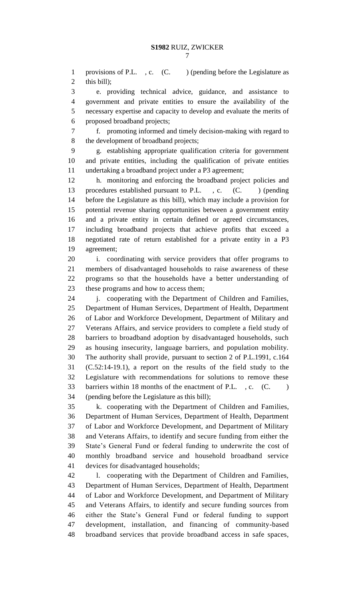1 provisions of P.L. , c. (C. ) (pending before the Legislature as this bill);

 e. providing technical advice, guidance, and assistance to government and private entities to ensure the availability of the necessary expertise and capacity to develop and evaluate the merits of proposed broadband projects;

 f. promoting informed and timely decision-making with regard to the development of broadband projects;

 g. establishing appropriate qualification criteria for government and private entities, including the qualification of private entities undertaking a broadband project under a P3 agreement;

 h. monitoring and enforcing the broadband project policies and 13 procedures established pursuant to P.L., c. (C.) (pending before the Legislature as this bill), which may include a provision for potential revenue sharing opportunities between a government entity and a private entity in certain defined or agreed circumstances, including broadband projects that achieve profits that exceed a negotiated rate of return established for a private entity in a P3 agreement;

 i. coordinating with service providers that offer programs to members of disadvantaged households to raise awareness of these programs so that the households have a better understanding of these programs and how to access them;

24 i. cooperating with the Department of Children and Families, Department of Human Services, Department of Health, Department of Labor and Workforce Development, Department of Military and Veterans Affairs, and service providers to complete a field study of barriers to broadband adoption by disadvantaged households, such as housing insecurity, language barriers, and population mobility. The authority shall provide, pursuant to section 2 of P.L.1991, c.164 (C.52:14-19.1), a report on the results of the field study to the Legislature with recommendations for solutions to remove these 33 barriers within 18 months of the enactment of P.L., c. (C.) (pending before the Legislature as this bill);

 k. cooperating with the Department of Children and Families, Department of Human Services, Department of Health, Department of Labor and Workforce Development, and Department of Military and Veterans Affairs, to identify and secure funding from either the State's General Fund or federal funding to underwrite the cost of monthly broadband service and household broadband service devices for disadvantaged households;

 l. cooperating with the Department of Children and Families, Department of Human Services, Department of Health, Department of Labor and Workforce Development, and Department of Military and Veterans Affairs, to identify and secure funding sources from either the State's General Fund or federal funding to support development, installation, and financing of community-based broadband services that provide broadband access in safe spaces,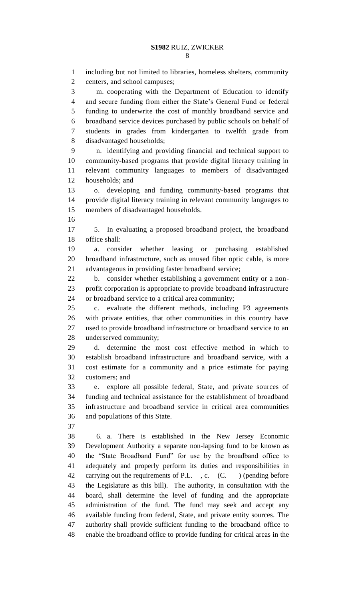including but not limited to libraries, homeless shelters, community centers, and school campuses; m. cooperating with the Department of Education to identify and secure funding from either the State's General Fund or federal funding to underwrite the cost of monthly broadband service and broadband service devices purchased by public schools on behalf of students in grades from kindergarten to twelfth grade from disadvantaged households; n. identifying and providing financial and technical support to community-based programs that provide digital literacy training in relevant community languages to members of disadvantaged households; and o. developing and funding community-based programs that provide digital literacy training in relevant community languages to members of disadvantaged households. 5. In evaluating a proposed broadband project, the broadband office shall: a. consider whether leasing or purchasing established broadband infrastructure, such as unused fiber optic cable, is more advantageous in providing faster broadband service; b. consider whether establishing a government entity or a non- profit corporation is appropriate to provide broadband infrastructure or broadband service to a critical area community; c. evaluate the different methods, including P3 agreements with private entities, that other communities in this country have used to provide broadband infrastructure or broadband service to an underserved community; d. determine the most cost effective method in which to establish broadband infrastructure and broadband service, with a cost estimate for a community and a price estimate for paying customers; and e. explore all possible federal, State, and private sources of funding and technical assistance for the establishment of broadband infrastructure and broadband service in critical area communities and populations of this State. 6. a. There is established in the New Jersey Economic Development Authority a separate non-lapsing fund to be known as the "State Broadband Fund" for use by the broadband office to adequately and properly perform its duties and responsibilities in carrying out the requirements of P.L. , c. (C. ) (pending before the Legislature as this bill). The authority, in consultation with the board, shall determine the level of funding and the appropriate administration of the fund. The fund may seek and accept any available funding from federal, State, and private entity sources. The authority shall provide sufficient funding to the broadband office to enable the broadband office to provide funding for critical areas in the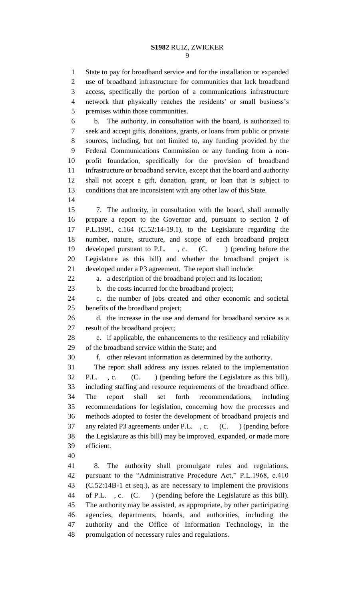State to pay for broadband service and for the installation or expanded use of broadband infrastructure for communities that lack broadband access, specifically the portion of a communications infrastructure network that physically reaches the residents' or small business's premises within those communities. b. The authority, in consultation with the board, is authorized to seek and accept gifts, donations, grants, or loans from public or private sources, including, but not limited to, any funding provided by the Federal Communications Commission or any funding from a non- profit foundation, specifically for the provision of broadband infrastructure or broadband service, except that the board and authority shall not accept a gift, donation, grant, or loan that is subject to conditions that are inconsistent with any other law of this State. 7. The authority, in consultation with the board, shall annually prepare a report to the Governor and, pursuant to section 2 of P.L.1991, c.164 (C.52:14-19.1), to the Legislature regarding the number, nature, structure, and scope of each broadband project 19 developed pursuant to P.L., c. (C.) (pending before the Legislature as this bill) and whether the broadband project is developed under a P3 agreement. The report shall include: a. a description of the broadband project and its location; b. the costs incurred for the broadband project; c. the number of jobs created and other economic and societal benefits of the broadband project; d. the increase in the use and demand for broadband service as a result of the broadband project; e. if applicable, the enhancements to the resiliency and reliability of the broadband service within the State; and f. other relevant information as determined by the authority. The report shall address any issues related to the implementation P.L. , c. (C. ) (pending before the Legislature as this bill), including staffing and resource requirements of the broadband office. The report shall set forth recommendations, including recommendations for legislation, concerning how the processes and methods adopted to foster the development of broadband projects and any related P3 agreements under P.L. , c. (C. ) (pending before the Legislature as this bill) may be improved, expanded, or made more efficient. 8. The authority shall promulgate rules and regulations, pursuant to the "Administrative Procedure Act," P.L.1968, c.410 (C.52:14B-1 et seq.), as are necessary to implement the provisions of P.L. , c. (C. ) (pending before the Legislature as this bill).

 The authority may be assisted, as appropriate, by other participating agencies, departments, boards, and authorities, including the authority and the Office of Information Technology, in the promulgation of necessary rules and regulations.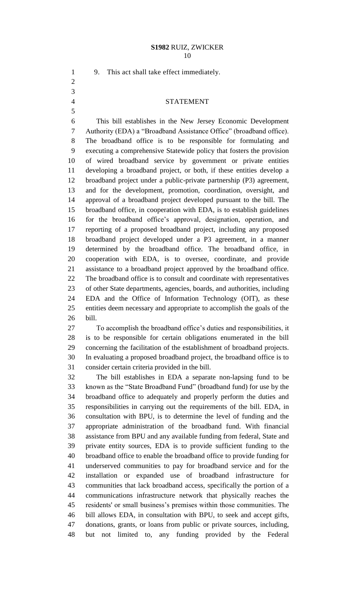9. This act shall take effect immediately.

## STATEMENT

 This bill establishes in the New Jersey Economic Development Authority (EDA) a "Broadband Assistance Office" (broadband office). The broadband office is to be responsible for formulating and executing a comprehensive Statewide policy that fosters the provision of wired broadband service by government or private entities developing a broadband project, or both, if these entities develop a broadband project under a public-private partnership (P3) agreement, and for the development, promotion, coordination, oversight, and approval of a broadband project developed pursuant to the bill. The broadband office, in cooperation with EDA, is to establish guidelines for the broadband office's approval, designation, operation, and reporting of a proposed broadband project, including any proposed broadband project developed under a P3 agreement, in a manner determined by the broadband office. The broadband office, in cooperation with EDA, is to oversee, coordinate, and provide assistance to a broadband project approved by the broadband office. The broadband office is to consult and coordinate with representatives of other State departments, agencies, boards, and authorities, including EDA and the Office of Information Technology (OIT), as these entities deem necessary and appropriate to accomplish the goals of the bill.

 To accomplish the broadband office's duties and responsibilities, it is to be responsible for certain obligations enumerated in the bill concerning the facilitation of the establishment of broadband projects. In evaluating a proposed broadband project, the broadband office is to consider certain criteria provided in the bill.

 The bill establishes in EDA a separate non-lapsing fund to be known as the "State Broadband Fund" (broadband fund) for use by the broadband office to adequately and properly perform the duties and responsibilities in carrying out the requirements of the bill. EDA, in consultation with BPU, is to determine the level of funding and the appropriate administration of the broadband fund. With financial assistance from BPU and any available funding from federal, State and private entity sources, EDA is to provide sufficient funding to the broadband office to enable the broadband office to provide funding for underserved communities to pay for broadband service and for the installation or expanded use of broadband infrastructure for communities that lack broadband access, specifically the portion of a communications infrastructure network that physically reaches the residents' or small business's premises within those communities. The bill allows EDA, in consultation with BPU, to seek and accept gifts, donations, grants, or loans from public or private sources, including, but not limited to, any funding provided by the Federal